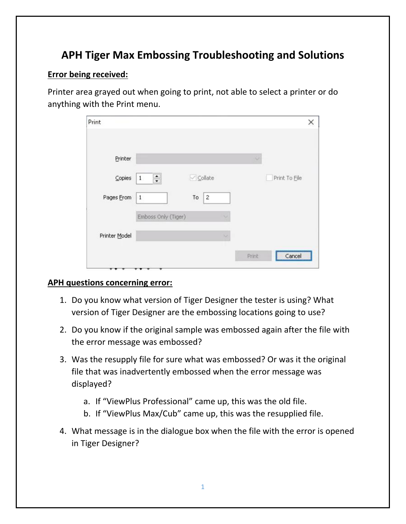# **APH Tiger Max Embossing Troubleshooting and Solutions**

## **Error being received:**

Printer area grayed out when going to print, not able to select a printer or do anything with the Print menu.

| Print             |                     |                               |        |        | ×             |
|-------------------|---------------------|-------------------------------|--------|--------|---------------|
| Printer           |                     |                               |        | $\sim$ |               |
| $\subseteq$ opies | $\div$<br>$1\,$     | $\vee$ Collate                |        |        | Print To File |
| Pages From        | $\,1\,$             | $\overline{\mathbf{c}}$<br>To |        |        |               |
|                   | Emboss Only (Tiger) |                               | $\sim$ |        |               |
| Printer Model     |                     |                               | No.    |        |               |
|                   |                     |                               |        | Print  | Cancel        |

### **APH questions concerning error:**

- 1. Do you know what version of Tiger Designer the tester is using? What version of Tiger Designer are the embossing locations going to use?
- 2. Do you know if the original sample was embossed again after the file with the error message was embossed?
- 3. Was the resupply file for sure what was embossed? Or was it the original file that was inadvertently embossed when the error message was displayed?
	- a. If "ViewPlus Professional" came up, this was the old file.
	- b. If "ViewPlus Max/Cub" came up, this was the resupplied file.
- 4. What message is in the dialogue box when the file with the error is opened in Tiger Designer?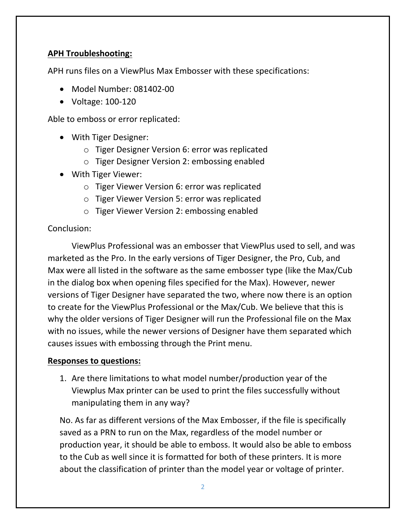## **APH Troubleshooting:**

APH runs files on a ViewPlus Max Embosser with these specifications:

- Model Number: 081402-00
- Voltage: 100-120

Able to emboss or error replicated:

- With Tiger Designer:
	- o Tiger Designer Version 6: error was replicated
	- o Tiger Designer Version 2: embossing enabled
- With Tiger Viewer:
	- o Tiger Viewer Version 6: error was replicated
	- o Tiger Viewer Version 5: error was replicated
	- o Tiger Viewer Version 2: embossing enabled

### Conclusion:

ViewPlus Professional was an embosser that ViewPlus used to sell, and was marketed as the Pro. In the early versions of Tiger Designer, the Pro, Cub, and Max were all listed in the software as the same embosser type (like the Max/Cub in the dialog box when opening files specified for the Max). However, newer versions of Tiger Designer have separated the two, where now there is an option to create for the ViewPlus Professional or the Max/Cub. We believe that this is why the older versions of Tiger Designer will run the Professional file on the Max with no issues, while the newer versions of Designer have them separated which causes issues with embossing through the Print menu.

### **Responses to questions:**

1. Are there limitations to what model number/production year of the Viewplus Max printer can be used to print the files successfully without manipulating them in any way?

No. As far as different versions of the Max Embosser, if the file is specifically saved as a PRN to run on the Max, regardless of the model number or production year, it should be able to emboss. It would also be able to emboss to the Cub as well since it is formatted for both of these printers. It is more about the classification of printer than the model year or voltage of printer.